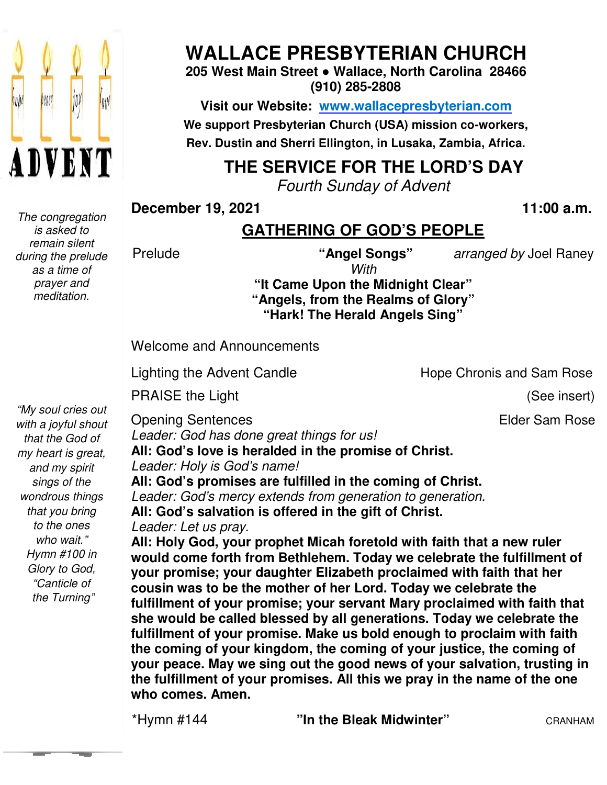

 *The congregation is asked to remain silent during the prelude as a time of prayer and meditation.* 

# **WALLACE PRESBYTERIAN CHURCH**

**205 West Main Street ● Wallace, North Carolina 28466 (910) 285-2808** 

**Visit our Website: www.wallacepresbyterian.com** We support Presbyterian Church (USA) mission co-workers, **Rev. Dustin and Sherri Ellington, in Lusaka, Zambia, Africa. Sherri Ellington,** 

### **THE SERVICE FOR THE LORD'S DAY**

*Fourth Sunday of Advent*

**December 19, 2021** 

**, 2021 11:00 a.m .** 

#### **GATHERING OF GOD'S PEOPLE**

Prelude

*With* 

**"Angel Songs"** *arranged by* Joel Raney Joel

Hope Chronis and Sam Rose

**"It Came Upon the Midnight Clear" "Angels, from the Realms of Glory" "Angels, "Hark! The Herald Angels Sing"**

Welcome and Announcements

Lighting the Advent Candle

PRAISE the Light

(See insert)

Elder Sam Rose

*"My soul cries out with a joyful shout that the God of my heart is great, and my spirit sings of the wondrous things that you bring to the ones who wait." Hymn #100 in Glory to God, "Canticle of the Turning"* 

Opening Sentences Leader: God has done great things for us!

All: God's love is heralded in the promise of Christ. *Leader: Holy is God's name!*

**All: God's promises are fulfilled in the coming of Christ.** Leader: God's mercy extends from generation to generation. **All: God's salvation is offered in the gift of Christ.** *Leader: Let us pray.*  All: God's salvation is offered in the gift of Christ.<br>*Leader: Let us pray.*<br>All: Holy God, your prophet Micah foretold with faith that a new ruler

**would come forth from Bethlehem. Today we celebrate the fulfillment of your promise; your daughter Elizabeth proclaimed with faith that her cousin was to be the mother of her Lord. Today we celebrate the fulfillment of your promise; your she would be called blessed by all generations. Today we celebrate the fulfillment of your promise. Make us bold enough to proclaim with faith the coming of your kingdom, the coming of your justice, the coming of your peace. May we sing out the good news of your salvation, trusting in the fulfillment of your promises. All this we pray in the name of the one who comes. Amen.** would come forth from Bethlehem. Today we celebrate the fulfillment of<br>your promise; your daughter Elizabeth proclaimed with faith that her<br>cousin was to be the mother of her Lord. Today we celebrate the<br>fulfillment of you would be called blessed by all genera<br>Ilment of your promise. Make us bold<br>coming of your kingdom, the coming or<br>r peace. May we sing out the good new<br>fulfillment of your promises. All this w om Bethlehem. Today we celebrate the fulfil<br>daughter Elizabeth proclaimed with faith that<br>e mother of her Lord. Today we celebrate the<br>omise; your servant Mary proclaimed with the<br>blessed by all generations. Today we celeb

\*Hymn #144

"In the Bleak Midwinter" **CRANHAM**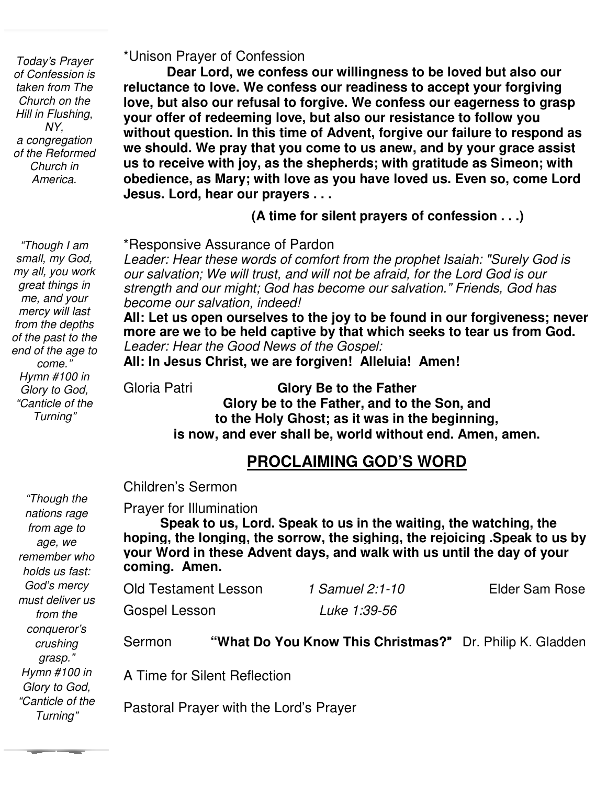*Today's Prayer of Confession is taken from The Church on the Hill in Flushing, NY, a congregation of the Reformed Church in America.* 

 *Hymn #100 in "Though I am small, my God, my all, you work great things in me, and your mercy will last from the depths of the past to the end of the age to come." Glory to God, "Canticle of the Turning"* 

#### \*Unison Prayer of Confession

**Dear Lord, we confess our willingness to be loved but also our reluctance to love. We confess our readiness to accept your forgiving love, but also our refusal to forgive. We confess our eagerness to grasp your offer of redeeming love, but also our resistance to follow you without question. In this time of Advent, forgive our failure to respond as we should. We pray that you come to us anew, and by your grace assist us to receive with joy, as the shepherds; with gratitude as Simeon; with obedience, as Mary; with love as you have loved us. Even so, come Lord Jesus. Lord, hear our prayers . . .**

**(A time for silent prayers of confession . . .)**

\*Responsive Assurance of Pardon

 *Leader: Hear these words of comfort from the prophet Isaiah: "Surely God is strength and our might; God has become our salvation." Friends, God has our salvation; We will trust, and will not be afraid, for the Lord God is our become our salvation, indeed!*

 **All: Let us open ourselves to the joy to be found in our forgiveness; never more are we to be held captive by that which seeks to tear us from God.** *Leader: Hear the Good News of the Gospel:* 

**All: In Jesus Christ, we are forgiven! Alleluia! Amen!**

Gloria Patri **Glory Be to the Father Glory be to the Father, and to the Son, and to the Holy Ghost; as it was in the beginning, is now, and ever shall be, world without end. Amen, amen.** 

#### **PROCLAIMING GOD'S WORD**

Children's Sermon

Prayer for Illumination

 **Speak to us, Lord. Speak to us in the waiting, the watching, the hoping, the longing, the sorrow, the sighing, the rejoicing .Speak to us by your Word in these Advent days, and walk with us until the day of your coming. Amen.** 

| Old Testament Lesson | 1 Samuel 2:1-10     | Elder Sam Rose |
|----------------------|---------------------|----------------|
| Gospel Lesson        | <i>Luke 1:39-56</i> |                |

Sermon **"What Do You Know This Christmas?**" Dr. Philip K. Gladden

A Time for Silent Reflection

Pastoral Prayer with the Lord's Prayer

*"Though the nations rage from age to age, we remember who holds us fast: God's mercy must deliver us from the conqueror's crushing grasp." Hymn #100 in Glory to God, "Canticle of the Turning"*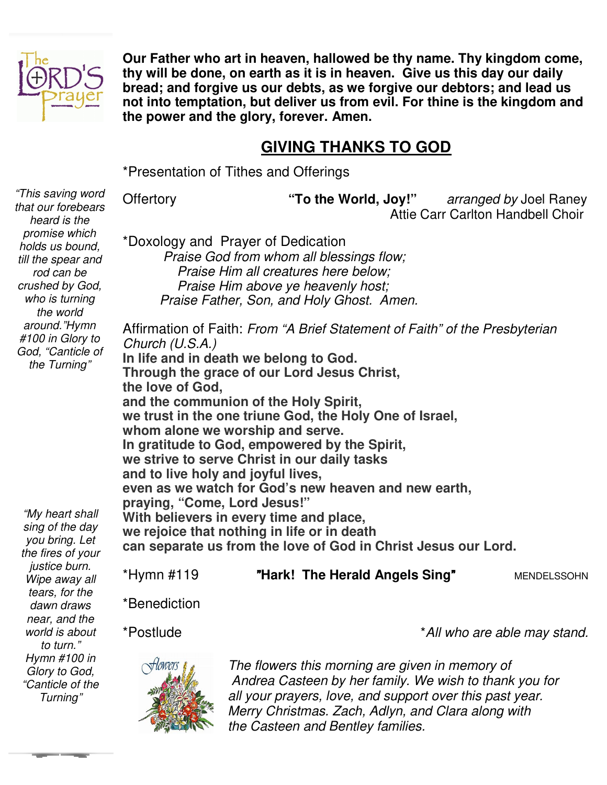

**Our Father who art in heaven, hallowed be thy name. Thy kingdom come, thy will be done, on earth as it is in heaven. Give us this day our daily bread; and forgive us our debts, as we forgive our debtors; and lead us not into temptation, but deliver us from evil. For thine is the kingdom and the power and the glory, forever. Amen.** 

#### **GIVING THANKS TO GOD**

\*Presentation of Tithes and Offerings

Offertory **"To the World, Joy!"** *arranged by* Joel Raney Attie Carr Carlton Handbell Choir

\*Doxology and Prayer of Dedication

 *Praise God from whom all blessings flow; Praise Him all creatures here below; Praise Him above ye heavenly host; Praise Father, Son, and Holy Ghost. Amen.* 

Affirmation of Faith: *From "A Brief Statement of Faith" of the Presbyterian Church (U.S.A.)*  **In life and in death we belong to God. Through the grace of our Lord Jesus Christ, the love of God, and the communion of the Holy Spirit, we trust in the one triune God, the Holy One of Israel, whom alone we worship and serve. In gratitude to God, empowered by the Spirit, we strive to serve Christ in our daily tasks and to live holy and joyful lives, even as we watch for God's new heaven and new earth, praying, "Come, Lord Jesus!" With believers in every time and place, we rejoice that nothing in life or in death can separate us from the love of God in Christ Jesus our Lord.** 

| *Hymn #119 | "Hark! The Herald Angels Sing" | <b>MENDELSSOHN</b> |
|------------|--------------------------------|--------------------|
|------------|--------------------------------|--------------------|

\*Benediction





*The flowers this morning are given in memory of Andrea Casteen by her family. We wish to thank you for all your prayers, love, and support over this past year. Merry Christmas. Zach, Adlyn, and Clara along with the Casteen and Bentley families.* 

*that our forebears heard is the promise which holds us bound, till the spear and rod can be crushed by God, who is turning the world around."Hymn #100 in Glory to God, "Canticle of the Turning"*

*"This saving word* 

*"My heart shall sing of the day you bring. Let the fires of your justice burn. Wipe away all tears, for the dawn draws near, and the world is about to turn." Hymn #100 in Glory to God, "Canticle of the Turning"*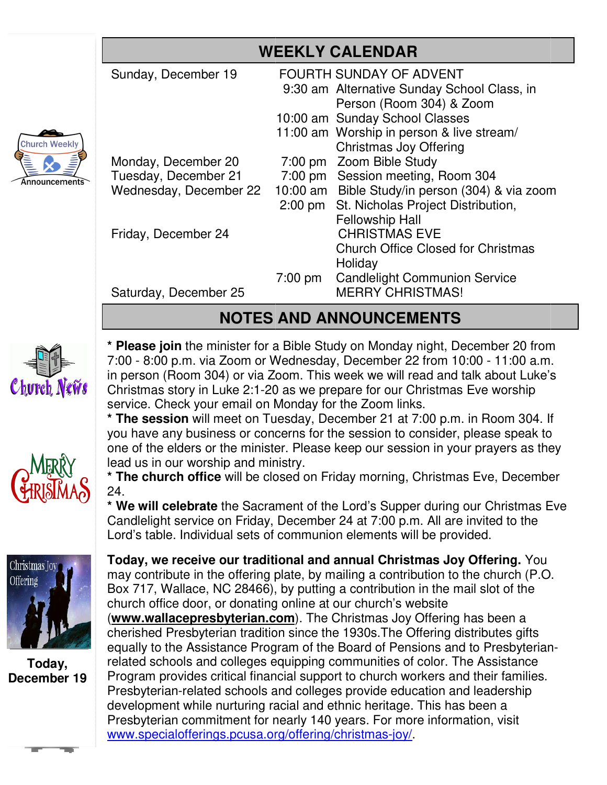|                       | <b>WEEKLY CALENDAR</b>                                                                                                                                                                                                                                                                                                                                                                                                                                                                                                                                             |                        |                                                                                                                                                                                                                                                                                                                                          |  |  |
|-----------------------|--------------------------------------------------------------------------------------------------------------------------------------------------------------------------------------------------------------------------------------------------------------------------------------------------------------------------------------------------------------------------------------------------------------------------------------------------------------------------------------------------------------------------------------------------------------------|------------------------|------------------------------------------------------------------------------------------------------------------------------------------------------------------------------------------------------------------------------------------------------------------------------------------------------------------------------------------|--|--|
| ch Weekly             | Sunday, December 19                                                                                                                                                                                                                                                                                                                                                                                                                                                                                                                                                |                        | FOURTH SUNDAY OF ADVENT<br>9:30 am Alternative Sunday School Class, in<br>Person (Room 304) & Zoom<br>10:00 am Sunday School Classes<br>11:00 am Worship in person & live stream/<br>Christmas Joy Offering                                                                                                                              |  |  |
| $\mathsf{puncements}$ | Monday, December 20<br>Tuesday, December 21<br>Wednesday, December 22                                                                                                                                                                                                                                                                                                                                                                                                                                                                                              | $7:00$ pm<br>$2:00$ pm | Zoom Bible Study<br>7:00 pm Session meeting, Room 304<br>10:00 am Bible Study/in person (304) & via zoom<br>St. Nicholas Project Distribution,<br><b>Fellowship Hall</b>                                                                                                                                                                 |  |  |
|                       | Friday, December 24<br>Saturday, December 25                                                                                                                                                                                                                                                                                                                                                                                                                                                                                                                       | 7:00 pm                | <b>CHRISTMAS EVE</b><br><b>Church Office Closed for Christmas</b><br>Holiday<br><b>Candlelight Communion Service</b><br><b>MERRY CHRISTMAS!</b>                                                                                                                                                                                          |  |  |
|                       | <b>NOTES AND ANNOUNCEMENTS</b>                                                                                                                                                                                                                                                                                                                                                                                                                                                                                                                                     |                        |                                                                                                                                                                                                                                                                                                                                          |  |  |
| reh News              | * Please join the minister for a Bible Study on Monday night, December 20 from<br>7:00 - 8:00 p.m. via Zoom or Wednesday, December 22 from 10:00 - 11:00 a.m.<br>in person (Room 304) or via Zoom. This week we will read and talk about Luke's<br>Christmas story in Luke 2:1-20 as we prepare for our Christmas Eve worship<br>service. Check your email on Monday for the Zoom links.<br>* The session will meet on Tuesday, December 21 at 7:00 p.m. in Room 304. If<br>you have any business or concerns for the session to consider, please speak to         |                        |                                                                                                                                                                                                                                                                                                                                          |  |  |
| <b>SIMA</b>           | lead us in our worship and ministry.<br>24.<br>Lord's table. Individual sets of communion elements will be provided.                                                                                                                                                                                                                                                                                                                                                                                                                                               |                        | one of the elders or the minister. Please keep our session in your prayers as they<br>* The church office will be closed on Friday morning, Christmas Eve, December<br>* We will celebrate the Sacrament of the Lord's Supper during our Christmas Eve<br>Candlelight service on Friday, December 24 at 7:00 p.m. All are invited to the |  |  |
| as Joy                | Today, we receive our traditional and annual Christmas Joy Offering. You<br>may contribute in the offering plate, by mailing a contribution to the church (P.O.<br>Box 717, Wallace, NC 28466), by putting a contribution in the mail slot of the<br>church office door, or donating online at our church's website<br>(www.wallacepresbyterian.com). The Christmas Joy Offering has been a<br>cherished Presbyterian tradition since the 1930s. The Offering distributes gifts<br>equally to the Assistance Program of the Board of Pensions and to Presbyterian- |                        |                                                                                                                                                                                                                                                                                                                                          |  |  |

#### **NOTES AND ANNOUNCEMENTS**





**Today, December 19** 

**Today, we receive our traditional and annual Christmas Joy Offering.** You may contribute in the offering plate, by mailing a contribution to the church (P.O. may contribute in the offering plate, by mailing a contribution to the church (P<br>Box 717, Wallace, NC 28466), by putting a contribution in the mail slot of the church office door, or donating online at our church's website (**www.wallacepresbyterian.com** ). The Christmas Joy Offering has been a cherished Presbyterian tradition since the 1930s. The Offering distributes gifts equally to the Assistance Program of the Board of Pensions and to Presbyterian related schools and colleges equipping communities of color. The Assistance Program provides critical financial support to church workers and their families. Presbyterian-related schools and colleges provide education and leadership development while nurturing racial and ethnic heritage. This has been a Presbyterian commitment for nearly 140 years. For more information, visit www.specialofferings.pcusa.org/offering/christmas-joy/. development while nurturing racial and ethnic heritage.<br>Presbyterian commitment for nearly 140 years. For mor<br><u>www.specialofferings.pcusa.org/offering/christmas-joy/</u>.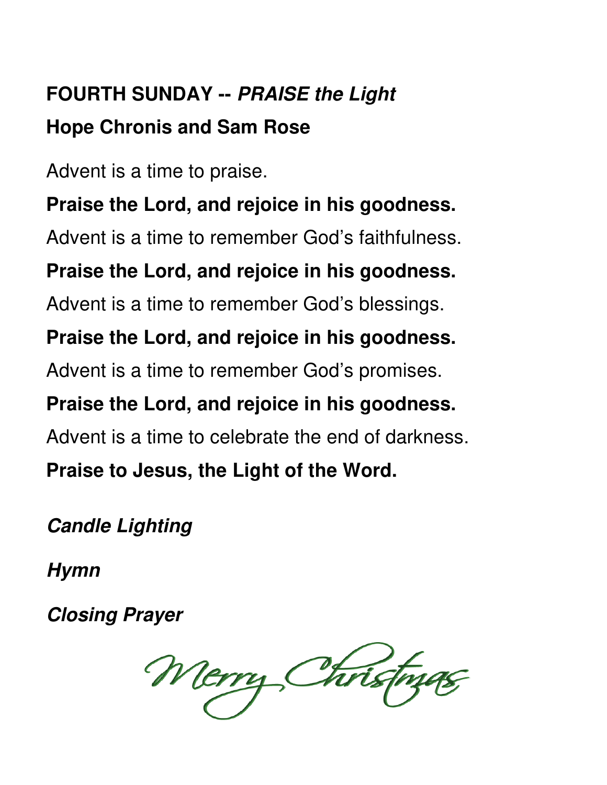# **FOURTH SUNDAY -- PRAISE the Light Hope Chronis and Sam Rose**

Advent is a time to praise.

**Praise the Lord, and rejoice in his goodness.**  Advent is a time to remember God's faithfulness. **Praise the Lord, and rejoice in his goodness.**  Advent is a time to remember God's blessings. **Praise the Lord, and rejoice in his goodness.**  Advent is a time to remember God's promises.

**Praise the Lord, and rejoice in his goodness.**  Advent is a time to celebrate the end of darkness.

**Praise to Jesus, the Light of the Word.** 

**Candle Lighting** 

**Hymn** 

**Closing Prayer** 

Merry Christm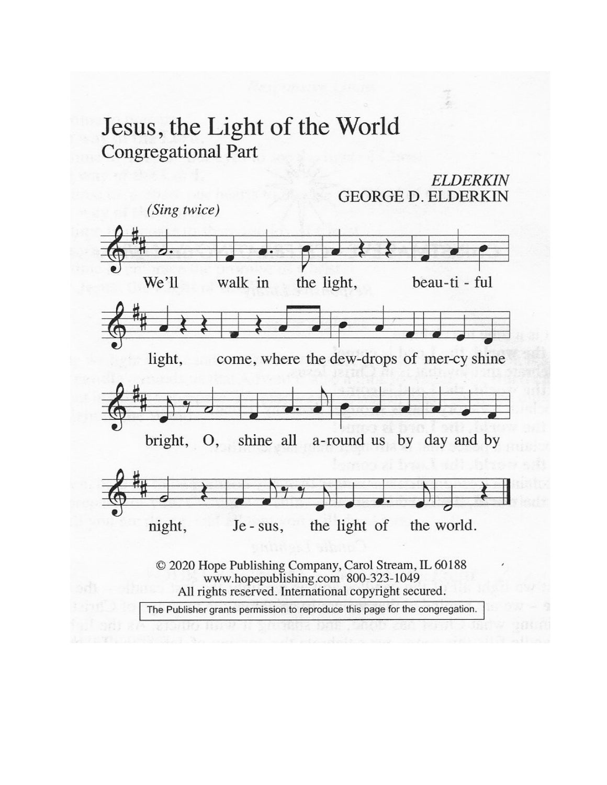## Jesus, the Light of the World **Congregational Part**

**GEORGE D. ELDERKIN** (Sing twice) We'll walk in the light, beau-ti - ful come, where the dew-drops of mer-cy shine light, bright, shine all O, a-round us by day and by the light of night, the world. Je - sus, © 2020 Hope Publishing Company, Carol Stream, IL 60188 www.hopepublishing.com 800-323-1049 All rights reserved. International copyright secured. The Publisher grants permission to reproduce this page for the congregation.

**ELDERKIN**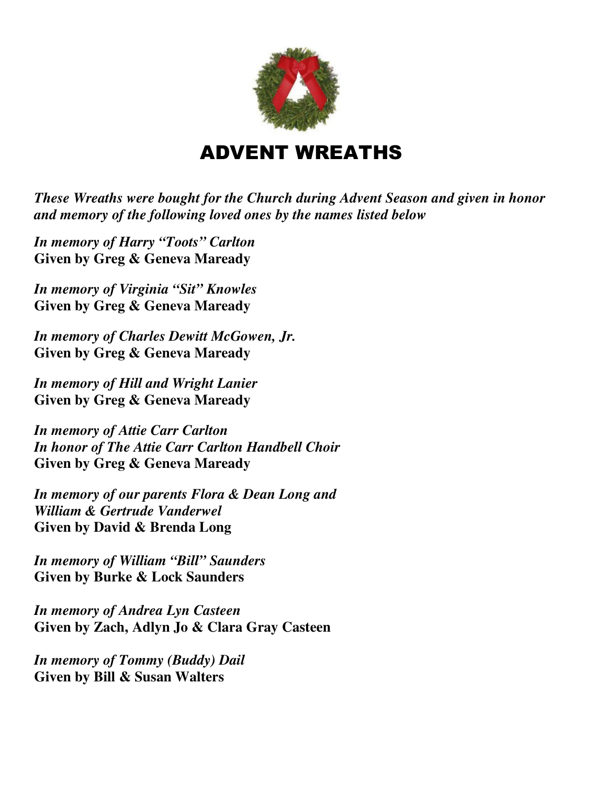

## ADVENT WREATHS

*These Wreaths were bought for the Church during Advent Season and given in honor and memory of the following loved ones by the names listed below* 

*In memory of Harry "Toots" Carlton*  **Given by Greg & Geneva Maready** 

*In memory of Virginia "Sit" Knowles*  **Given by Greg & Geneva Maready** 

*In memory of Charles Dewitt McGowen, Jr.*  **Given by Greg & Geneva Maready** 

*In memory of Hill and Wright Lanier*  **Given by Greg & Geneva Maready** 

*In memory of Attie Carr Carlton In honor of The Attie Carr Carlton Handbell Choir*  **Given by Greg & Geneva Maready** 

*In memory of our parents Flora & Dean Long and William & Gertrude Vanderwel*  **Given by David & Brenda Long** 

*In memory of William "Bill" Saunders*  **Given by Burke & Lock Saunders** 

*In memory of Andrea Lyn Casteen*  **Given by Zach, Adlyn Jo & Clara Gray Casteen** 

*In memory of Tommy (Buddy) Dail*  **Given by Bill & Susan Walters**